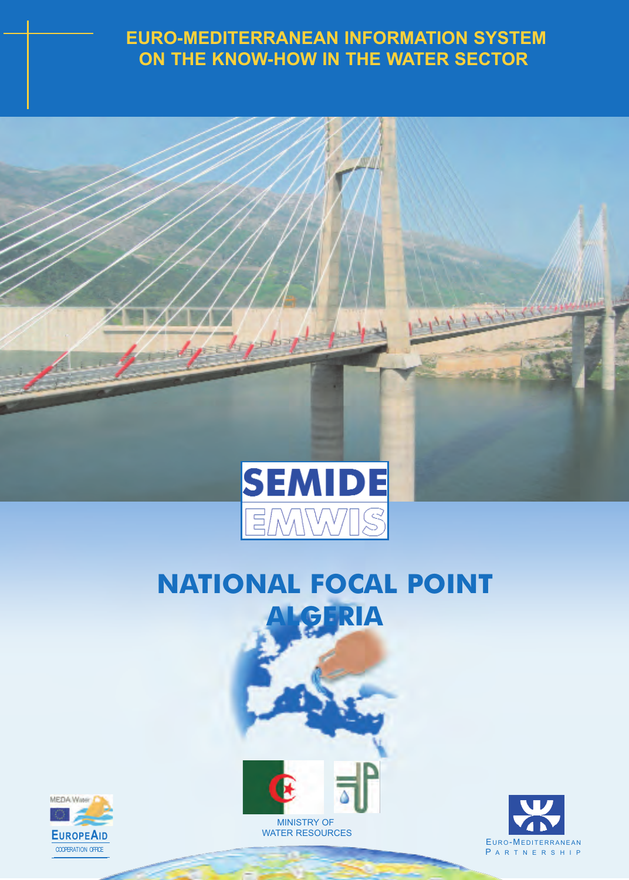# **EURO-MEDITERRANEAN INFORMATION SYSTEM ON THE KNOW-HOW IN THE WATER SECTOR**



# **NATIONAL FOCAL POINT ALGERIA**





**EUROPEAID** WATER RESOURCES



11 + 1 + 1 + 1 + 1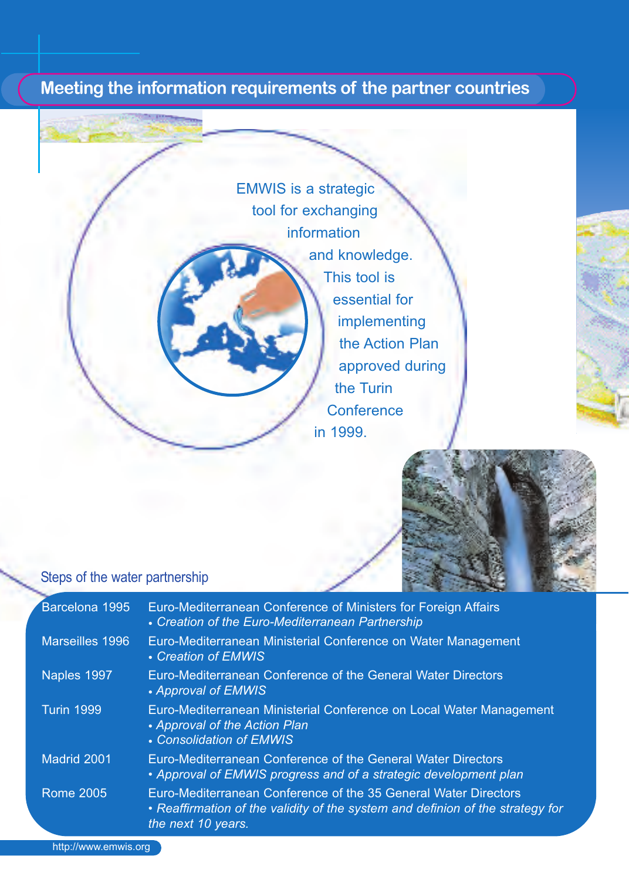# **Meeting the information requirements of the partner countries**

EMWIS is a strategic tool for exchanging information and knowledge. This tool is essential for implementing the Action Plan approved during the Turin **Conference** in 1999.



#### Steps of the water partnership

| Barcelona 1995    | Euro-Mediterranean Conference of Ministers for Foreign Affairs<br>• Creation of the Euro-Mediterranean Partnership                                                      |
|-------------------|-------------------------------------------------------------------------------------------------------------------------------------------------------------------------|
| Marseilles 1996   | Euro-Mediterranean Ministerial Conference on Water Management<br>• Creation of EMWIS                                                                                    |
| Naples 1997       | Euro-Mediterranean Conference of the General Water Directors<br>• Approval of EMWIS                                                                                     |
| <b>Turin 1999</b> | Euro-Mediterranean Ministerial Conference on Local Water Management<br>• Approval of the Action Plan<br>• Consolidation of EMWIS                                        |
| Madrid 2001       | Euro-Mediterranean Conference of the General Water Directors<br>• Approval of EMWIS progress and of a strategic development plan                                        |
| Rome 2005         | Euro-Mediterranean Conference of the 35 General Water Directors<br>• Reaffirmation of the validity of the system and definion of the strategy for<br>the next 10 years. |

http://www.emwis.org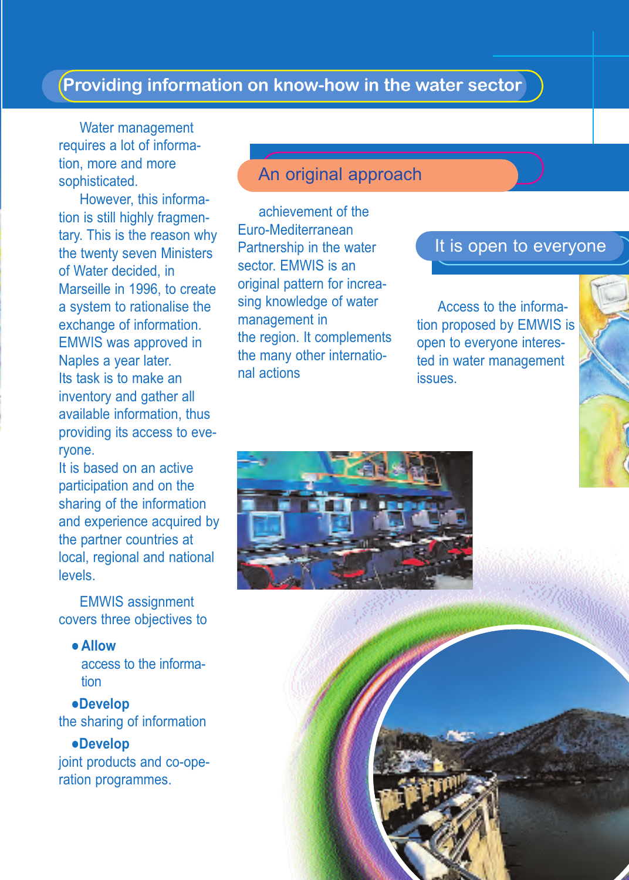# **Providing information on know-how in the water sector**

Water management requires a lot of information, more and more sophisticated.

However, this information is still highly fragmentary. This is the reason why the twenty seven Ministers of Water decided, in Marseille in 1996, to create a system to rationalise the exchange of information. EMWIS was approved in Naples a year later. Its task is to make an inventory and gather all available information, thus providing its access to everyone.

It is based on an active participation and on the sharing of the information and experience acquired by the partner countries at local, regional and national levels.

EMWIS assignment covers three objectives to

#### - **Allow**

access to the information

-**Develop** the sharing of information

-**Develop** joint products and co-operation programmes.

#### An original approach

achievement of the Euro-Mediterranean Partnership in the water sector. EMWIS is an original pattern for increasing knowledge of water management in the region. It complements the many other international actions

#### It is open to everyone

Access to the information proposed by EMWIS is open to everyone interested in water management issues.

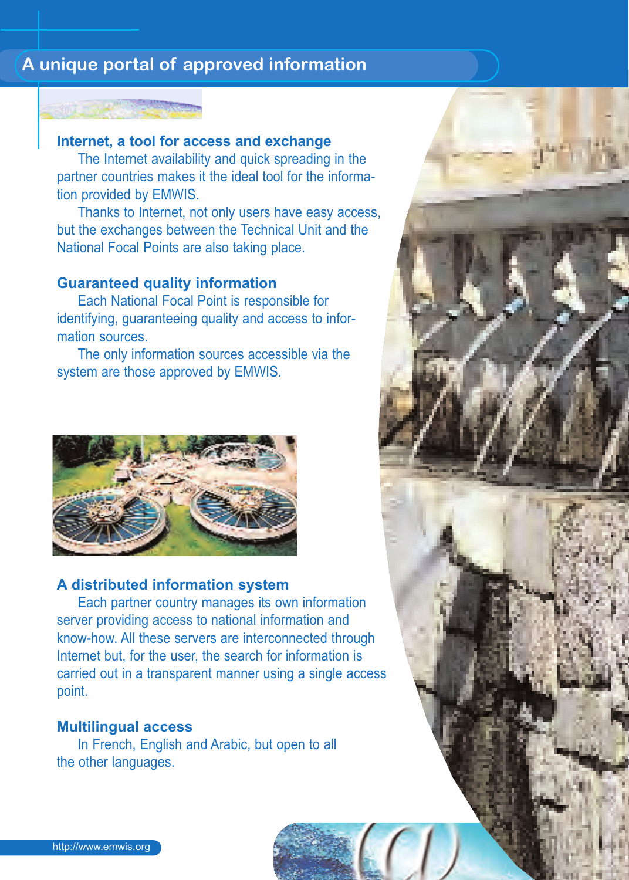# **A unique portal of approved information**



### **Internet, a tool for access and exchange**

The Internet availability and quick spreading in the partner countries makes it the ideal tool for the information provided by EMWIS.

Thanks to Internet, not only users have easy access, but the exchanges between the Technical Unit and the National Focal Points are also taking place.

#### **Guaranteed quality information**

Each National Focal Point is responsible for identifying, guaranteeing quality and access to information sources.

The only information sources accessible via the system are those approved by EMWIS.



#### **A distributed information system**

Each partner country manages its own information server providing access to national information and know-how. All these servers are interconnected through Internet but, for the user, the search for information is carried out in a transparent manner using a single access point.

#### **Multilingual access**

In French, English and Arabic, but open to all the other languages.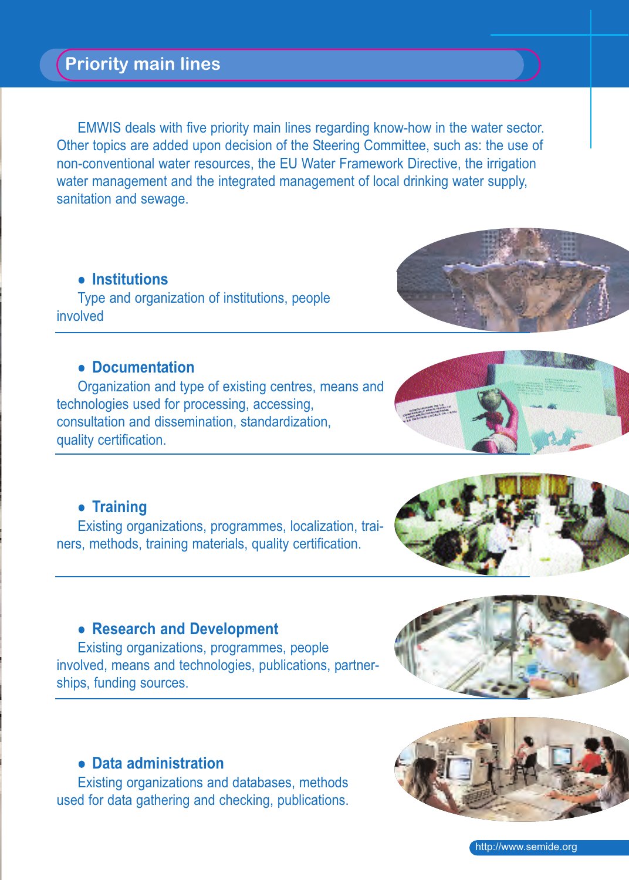# **Priority main lines**

EMWIS deals with five priority main lines regarding know-how in the water sector. Other topics are added upon decision of the Steering Committee, such as: the use of non-conventional water resources, the EU Water Framework Directive, the irrigation water management and the integrated management of local drinking water supply, sanitation and sewage.

#### - **Institutions**

Type and organization of institutions, people involved

#### - **Documentation**

Organization and type of existing centres, means and technologies used for processing, accessing, consultation and dissemination, standardization, quality certification.

## - **Training**

Existing organizations, programmes, localization, trainers, methods, training materials, quality certification.

#### - **Research and Development**

Existing organizations, programmes, people involved, means and technologies, publications, partnerships, funding sources.

#### - **Data administration**

Existing organizations and databases, methods used for data gathering and checking, publications.









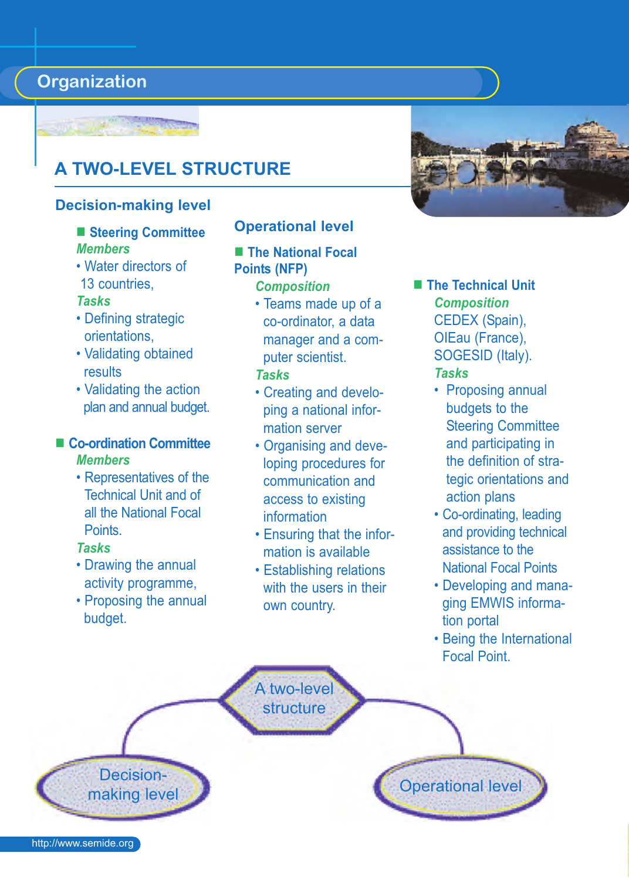# **Organization**

# **A TWO-LEVEL STRUCTURE**

#### **Decision-making level**

#### **Steering Committee** *Members*

• Water directors of 13 countries,

#### *Tasks*

- Defining strategic orientations,
- Validating obtained results
- Validating the action plan and annual budget.

#### **Co-ordination Committee** *Members*

• Representatives of the Technical Unit and of all the National Focal Points.

#### *Tasks*

- Drawing the annual activity programme,
- Proposing the annual budget.

Decision-

#### **Operational level**

- **The National Focal Points (NFP)** *Composition*
	- Teams made up of a co-ordinator, a data manager and a computer scientist. *Tasks*

#### • Creating and developing a national information server

- Organising and developing procedures for communication and access to existing information
- Ensuring that the information is available
- Establishing relations with the users in their own country.



#### **The Technical Unit** *Composition* CEDEX (Spain), OIEau (France), SOGESID (Italy). *Tasks*

- Proposing annual budgets to the Steering Committee and participating in the definition of strategic orientations and action plans
- Co-ordinating, leading and providing technical assistance to the National Focal Points
- Developing and managing EMWIS information portal
- Being the International Focal Point.

A two-level structure

**Decision-**<br>making level **Operational level** 

http://www.semide.org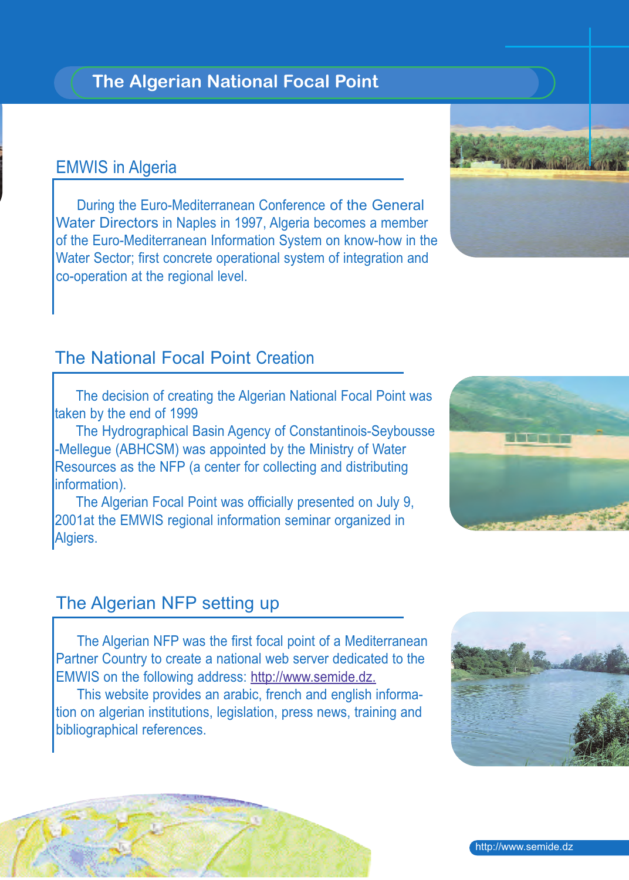# **The Algerian National Focal Point**

### EMWIS in Algeria

During the Euro-Mediterranean Conference of the General Water Directors in Naples in 1997, Algeria becomes a member of the Euro-Mediterranean Information System on know-how in the Water Sector; first concrete operational system of integration and co-operation at the regional level.

# The National Focal Point Creation

The decision of creating the Algerian National Focal Point was taken by the end of 1999

The Hydrographical Basin Agency of Constantinois-Seybousse -Mellegue (ABHCSM) was appointed by the Ministry of Water Resources as the NFP (a center for collecting and distributing information).

The Algerian Focal Point was officially presented on July 9, 2001at the EMWIS regional information seminar organized in Algiers.

# The Algerian NFP setting up

The Algerian NFP was the first focal point of a Mediterranean Partner Country to create a national web server dedicated to the EMWIS on the following address: http://www.semide.dz.

This website provides an arabic, french and english information on algerian institutions, legislation, press news, training and bibliographical references.







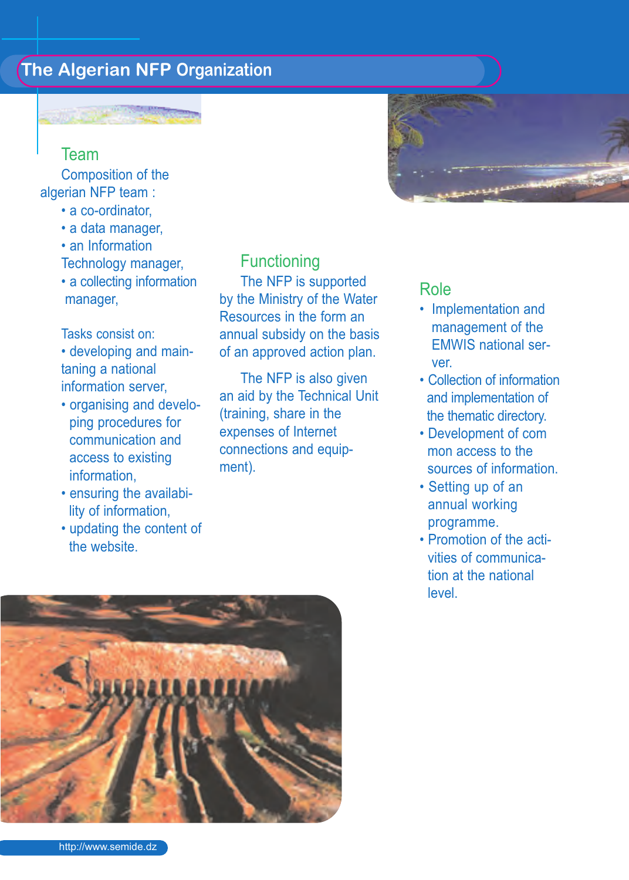# **The Algerian NFP Organization**

#### Team

Composition of the algerian NFP team :

- a co-ordinator,
- a data manager,
- an Information Technology manager,
- a collecting information manager,

#### Tasks consist on:

- developing and maintaning a national information server,
- organising and developing procedures for communication and access to existing information,
- ensuring the availability of information,
- updating the content of the website.

**Functioning** The NFP is supported by the Ministry of the Water Resources in the form an annual subsidy on the basis of an approved action plan.

The NFP is also given an aid by the Technical Unit (training, share in the expenses of Internet connections and equipment).



### Role

- Implementation and management of the EMWIS national server.
- Collection of information and implementation of the thematic directory.
- Development of com mon access to the sources of information.
- Setting up of an annual working programme.
- Promotion of the activities of communication at the national level.

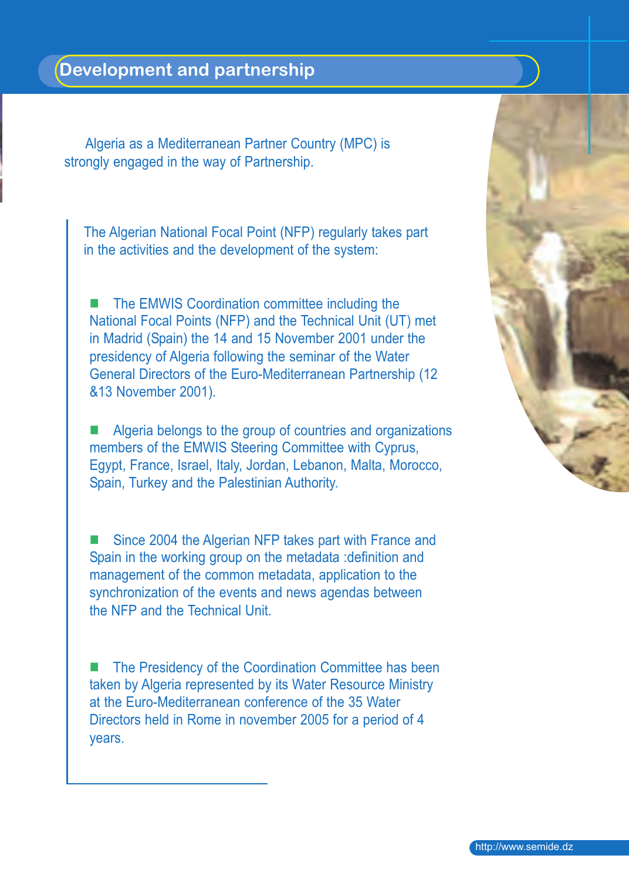Algeria as a Mediterranean Partner Country (MPC) is strongly engaged in the way of Partnership.

The Algerian National Focal Point (NFP) regularly takes part in the activities and the development of the system:

 The EMWIS Coordination committee including the National Focal Points (NFP) and the Technical Unit (UT) met in Madrid (Spain) the 14 and 15 November 2001 under the presidency of Algeria following the seminar of the Water General Directors of the Euro-Mediterranean Partnership (12 &13 November 2001).

 Algeria belongs to the group of countries and organizations members of the EMWIS Steering Committee with Cyprus, Egypt, France, Israel, Italy, Jordan, Lebanon, Malta, Morocco, Spain, Turkey and the Palestinian Authority.

 Since 2004 the Algerian NFP takes part with France and Spain in the working group on the metadata :definition and management of the common metadata, application to the synchronization of the events and news agendas between the NFP and the Technical Unit.

■ The Presidency of the Coordination Committee has been taken by Algeria represented by its Water Resource Ministry at the Euro-Mediterranean conference of the 35 Water Directors held in Rome in november 2005 for a period of 4 years.

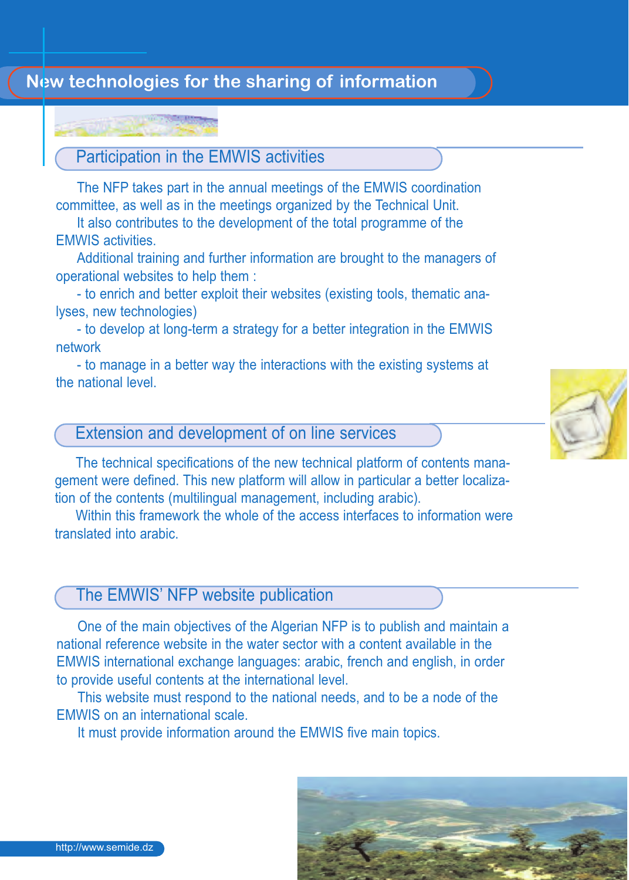# **New technologies for the sharing of information**

# Participation in the EMWIS activities

The NFP takes part in the annual meetings of the EMWIS coordination committee, as well as in the meetings organized by the Technical Unit.

It also contributes to the development of the total programme of the EMWIS activities.

Additional training and further information are brought to the managers of operational websites to help them :

- to enrich and better exploit their websites (existing tools, thematic analyses, new technologies)

- to develop at long-term a strategy for a better integration in the EMWIS network

- to manage in a better way the interactions with the existing systems at the national level.

# Extension and development of on line services

The technical specifications of the new technical platform of contents management were defined. This new platform will allow in particular a better localization of the contents (multilingual management, including arabic).

Within this framework the whole of the access interfaces to information were translated into arabic.

# The EMWIS' NFP website publication

One of the main objectives of the Algerian NFP is to publish and maintain a national reference website in the water sector with a content available in the EMWIS international exchange languages: arabic, french and english, in order to provide useful contents at the international level.

This website must respond to the national needs, and to be a node of the EMWIS on an international scale.

It must provide information around the EMWIS five main topics.





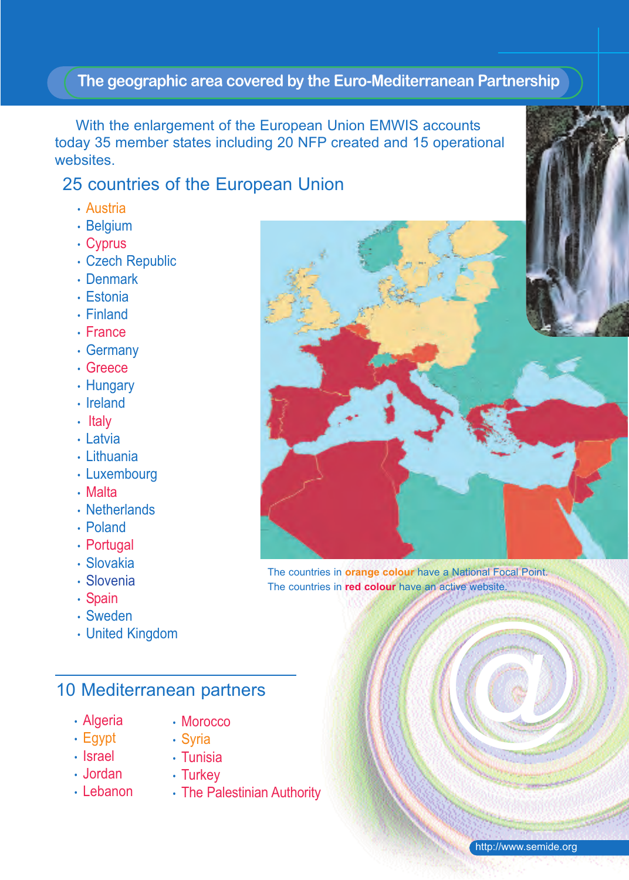### **The geographic area covered by the Euro-Mediterranean Partnership**

With the enlargement of the European Union EMWIS accounts today 35 member states including 20 NFP created and 15 operational **websites** 

# 25 countries of the European Union

- Austria
- Belgium
- Cyprus
- Czech Republic
- Denmark
- Estonia
- Finland
- France
- Germany
- Greece
- Hungary
- Ireland
- Italy
- Latvia
- Lithuania
- Luxembourg
- Malta
- Netherlands
- Poland
- Portugal
- Slovakia
- Slovenia
- Spain
- Sweden
- United Kingdom

# 10 Mediterranean partners

- Algeria
- Morocco
- Egypt
- Syria • Tunisia
- Israel • Jordan
- Turkey
- Lebanon
- The Palestinian Authority



The countries in **orange colour** have a National Focal Point. The countries in **red colour** have an active website.

@